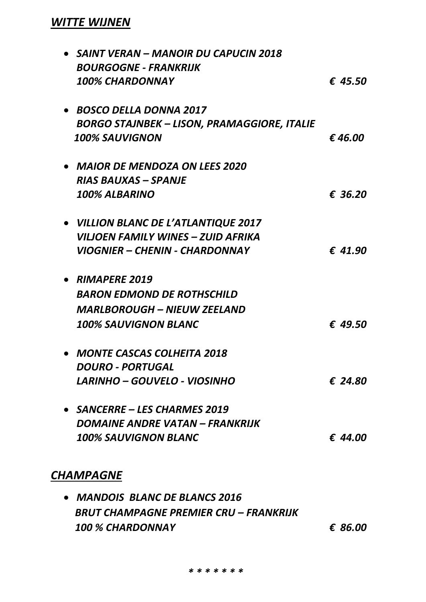## *WITTE WIJNEN*

| • SAINT VERAN – MANOIR DU CAPUCIN 2018             |         |
|----------------------------------------------------|---------|
| <b>BOURGOGNE - FRANKRIJK</b>                       |         |
| <b>100% CHARDONNAY</b>                             | € 45.50 |
| • BOSCO DELLA DONNA 2017                           |         |
| <b>BORGO STAJNBEK – LISON, PRAMAGGIORE, ITALIE</b> |         |
| <b>100% SAUVIGNON</b>                              | €46.00  |
| <b>MAIOR DE MENDOZA ON LEES 2020</b>               |         |
| <b>RIAS BAUXAS – SPANJE</b>                        |         |
| <b>100% ALBARINO</b>                               | € 36.20 |
| • VILLION BLANC DE L'ATLANTIQUE 2017               |         |
| VILJOEN FAMILY WINES – ZUID AFRIKA                 |         |
| <b>VIOGNIER – CHENIN - CHARDONNAY</b>              | € 41.90 |
| • RIMAPERE 2019                                    |         |
| <b>BARON EDMOND DE ROTHSCHILD</b>                  |         |
| <b>MARLBOROUGH - NIEUW ZEELAND</b>                 |         |
| <b>100% SAUVIGNON BLANC</b>                        | € 49.50 |
| <b>MONTE CASCAS COLHEITA 2018</b>                  |         |
| <i><b>DOURO - PORTUGAL</b></i>                     |         |
| LARINHO – GOUVELO - VIOSINHO                       | € 24.80 |
| • SANCERRE – LES CHARMES 2019                      |         |
| DOMAINE ANDRE VATAN - FRANKRIJK                    |         |
| <b>100% SAUVIGNON BLANC</b>                        | € 44.00 |
| <b>CHAMPAGNE</b>                                   |         |
|                                                    |         |

• *MANDOIS BLANC DE BLANCS 2016 BRUT CHAMPAGNE PREMIER CRU – FRANKRIJK 100 % CHARDONNAY € 86.00*